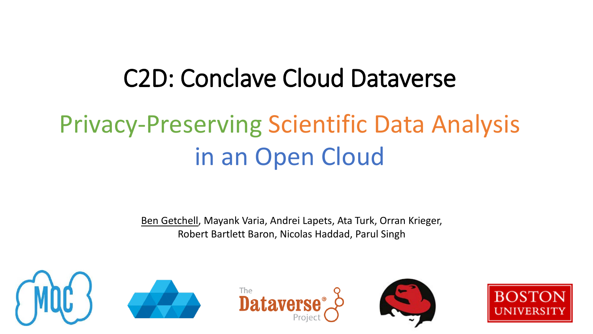# C2D: Conclave Cloud Dataverse Privacy-Preserving Scientific Data Analysis in an Open Cloud

Ben Getchell, Mayank Varia, Andrei Lapets, Ata Turk, Orran Krieger, Robert Bartlett Baron, Nicolas Haddad, Parul Singh









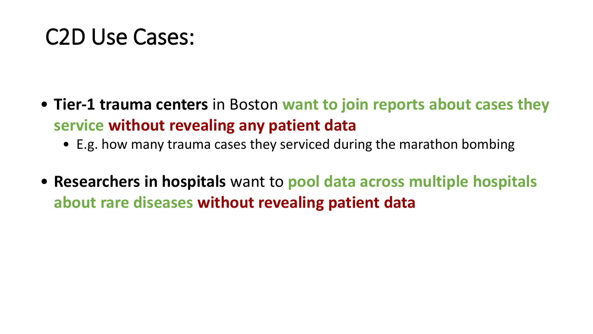### C2D Use Cases:

- **Tier-1 trauma centers** in Boston **want to join reports about cases they service without revealing any patient data**
	- E.g. how many trauma cases they serviced during the marathon bombing
- **Researchers in hospitals** want to **pool data across multiple hospitals about rare diseases without revealing patient data**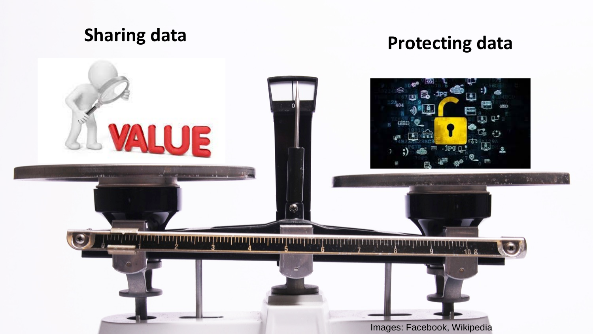### **Sharing data Protecting data**

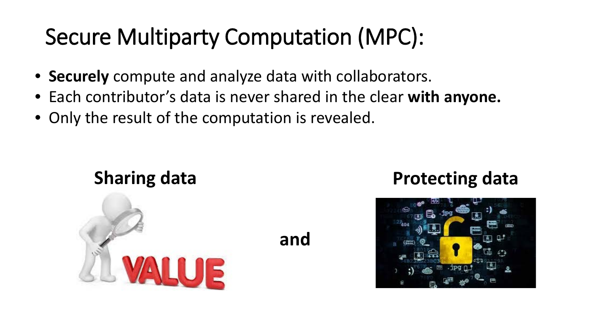### Secure Multiparty Computation (MPC):

- **Securely** compute and analyze data with collaborators.
- Each contributor's data is never shared in the clear **with anyone.**

**and**

• Only the result of the computation is revealed.



#### **Sharing data Protecting data**

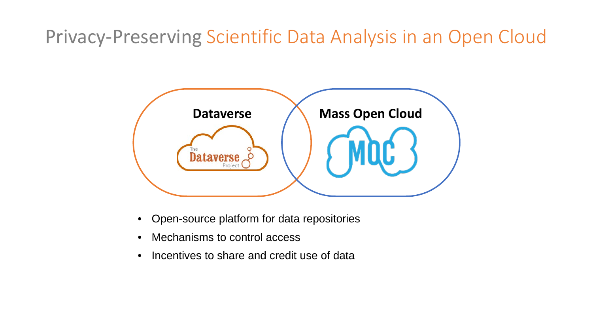Privacy-Preserving Scientific Data Analysis in an Open Cloud



- Open-source platform for data repositories
- Mechanisms to control access
- Incentives to share and credit use of data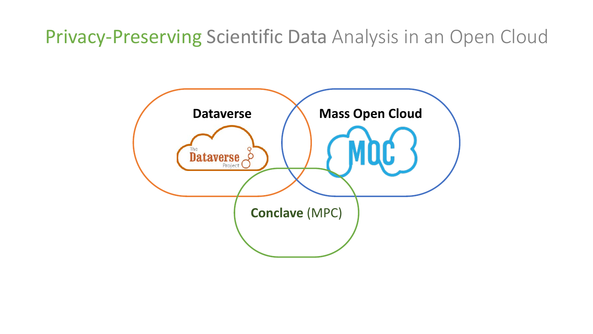Privacy-Preserving Scientific Data Analysis in an Open Cloud

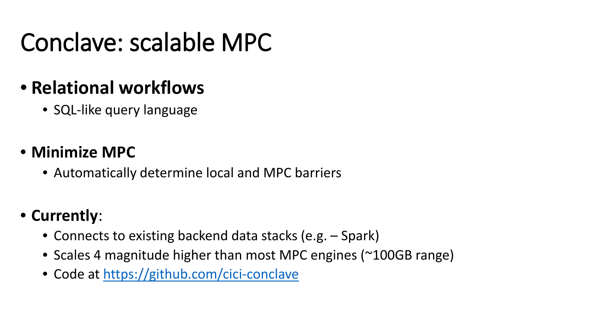## Conclave: scalable MPC

### • **Relational workflows**

• SQL-like query language

#### • **Minimize MPC**

• Automatically determine local and MPC barriers

#### • **Currently**:

- Connects to existing backend data stacks (e.g. Spark)
- Scales 4 magnitude higher than most MPC engines (~100GB range)
- Code at<https://github.com/cici-conclave>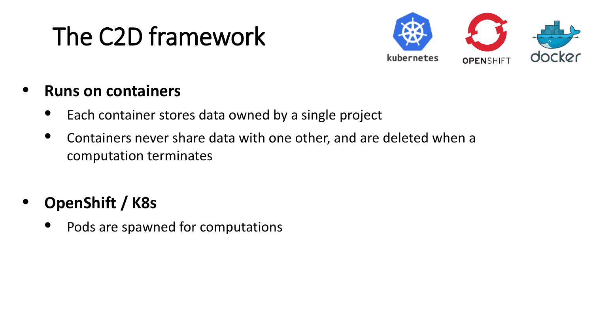## The C2D framework



#### • **Runs on containers**

- Each container stores data owned by a single project
- Containers never share data with one other, and are deleted when a computation terminates

### • **OpenShift / K8s**

Pods are spawned for computations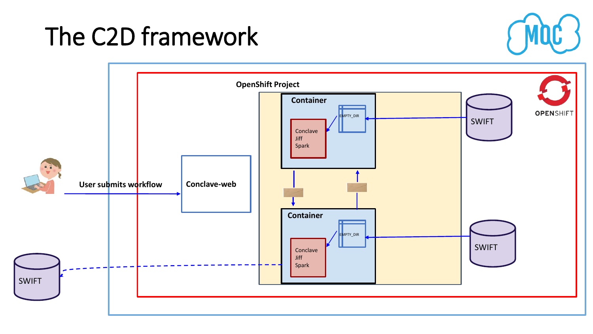### The C2D framework

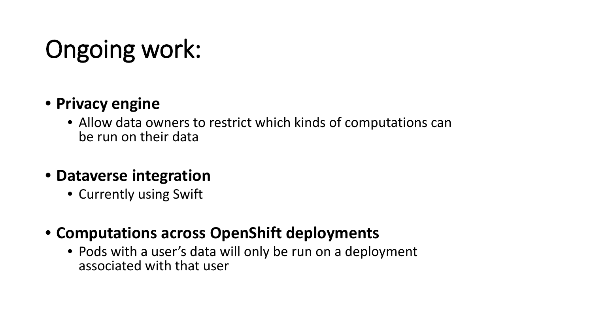## Ongoing work:

#### • **Privacy engine**

• Allow data owners to restrict which kinds of computations can be run on their data

#### • **Dataverse integration**

- Currently using Swift
- **Computations across OpenShift deployments**
	- Pods with a user's data will only be run on a deployment associated with that user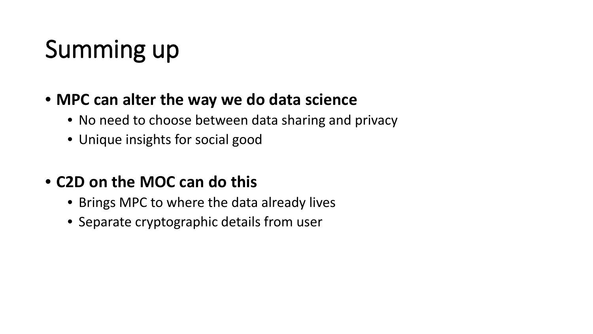# Summing up

#### • **MPC can alter the way we do data science**

- No need to choose between data sharing and privacy
- Unique insights for social good

#### • **C2D on the MOC can do this**

- Brings MPC to where the data already lives
- Separate cryptographic details from user